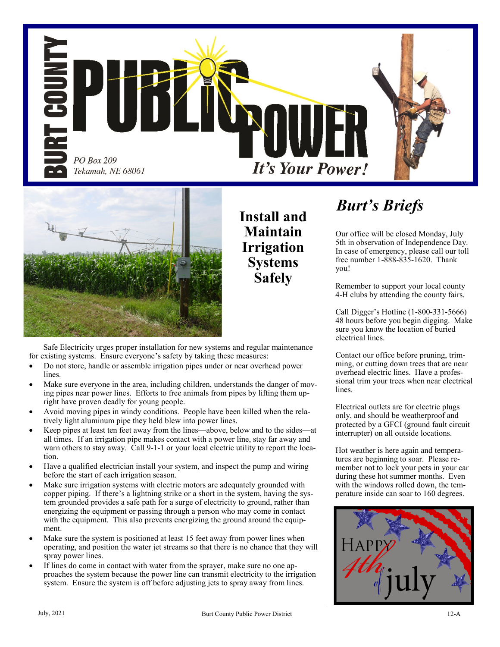



Safe Electricity urges proper installation for new systems and regular maintenance for existing systems. Ensure everyone's safety by taking these measures:

- Do not store, handle or assemble irrigation pipes under or near overhead power lines.
- Make sure everyone in the area, including children, understands the danger of moving pipes near power lines. Efforts to free animals from pipes by lifting them upright have proven deadly for young people.
- Avoid moving pipes in windy conditions. People have been killed when the relatively light aluminum pipe they held blew into power lines.
- Keep pipes at least ten feet away from the lines—above, below and to the sides—at all times. If an irrigation pipe makes contact with a power line, stay far away and warn others to stay away. Call 9-1-1 or your local electric utility to report the location.
- Have a qualified electrician install your system, and inspect the pump and wiring before the start of each irrigation season.
- Make sure irrigation systems with electric motors are adequately grounded with copper piping. If there's a lightning strike or a short in the system, having the system grounded provides a safe path for a surge of electricity to ground, rather than energizing the equipment or passing through a person who may come in contact with the equipment. This also prevents energizing the ground around the equipment.
- Make sure the system is positioned at least 15 feet away from power lines when operating, and position the water jet streams so that there is no chance that they will spray power lines.
- If lines do come in contact with water from the sprayer, make sure no one approaches the system because the power line can transmit electricity to the irrigation system. Ensure the system is off before adjusting jets to spray away from lines.

**Install and Maintain Irrigation Systems Safely**

## *Burt's Briefs*

Our office will be closed Monday, July 5th in observation of Independence Day. In case of emergency, please call our toll free number 1-888-835-1620. Thank you!

Remember to support your local county 4-H clubs by attending the county fairs.

Call Digger's Hotline (1-800-331-5666) 48 hours before you begin digging. Make sure you know the location of buried electrical lines.

Contact our office before pruning, trimming, or cutting down trees that are near overhead electric lines. Have a professional trim your trees when near electrical lines.

Electrical outlets are for electric plugs only, and should be weatherproof and protected by a GFCI (ground fault circuit interrupter) on all outside locations.

Hot weather is here again and temperatures are beginning to soar. Please remember not to lock your pets in your car during these hot summer months. Even with the windows rolled down, the temperature inside can soar to 160 degrees.

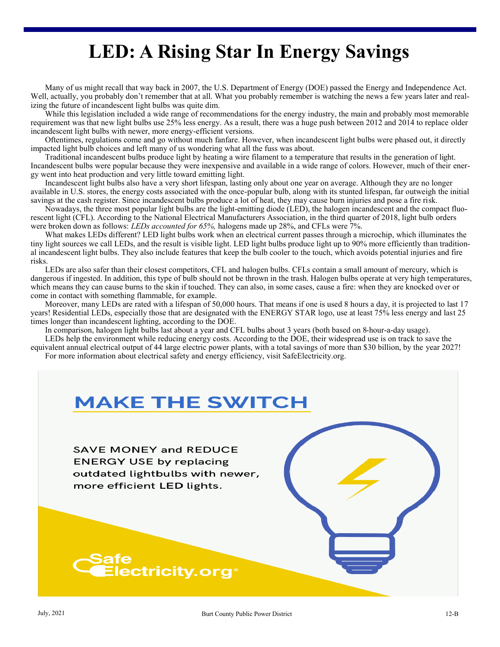# **LED: A Rising Star In Energy Savings**

Many of us might recall that way back in 2007, the U.S. Department of Energy (DOE) passed the Energy and Independence Act. Well, actually, you probably don't remember that at all. What you probably remember is watching the news a few years later and realizing the future of incandescent light bulbs was quite dim.

While this legislation included a wide range of recommendations for the energy industry, the main and probably most memorable requirement was that new light bulbs use 25% less energy. As a result, there was a huge push between 2012 and 2014 to replace older incandescent light bulbs with newer, more energy-efficient versions.

Oftentimes, regulations come and go without much fanfare. However, when incandescent light bulbs were phased out, it directly impacted light bulb choices and left many of us wondering what all the fuss was about.

Traditional incandescent bulbs produce light by heating a wire filament to a temperature that results in the generation of light. Incandescent bulbs were popular because they were inexpensive and available in a wide range of colors. However, much of their energy went into heat production and very little toward emitting light.

Incandescent light bulbs also have a very short lifespan, lasting only about one year on average. Although they are no longer available in U.S. stores, the energy costs associated with the once-popular bulb, along with its stunted lifespan, far outweigh the initial savings at the cash register. Since incandescent bulbs produce a lot of heat, they may cause burn injuries and pose a fire risk.

Nowadays, the three most popular light bulbs are the light-emitting diode (LED), the halogen incandescent and the compact fluorescent light (CFL). According to the National Electrical Manufacturers Association, in the third quarter of 2018, light bulb orders were broken down as follows: *LEDs accounted for 65%,* halogens made up 28%, and CFLs were 7%.

What makes LEDs different? LED light bulbs work when an electrical current passes through a microchip, which illuminates the tiny light sources we call LEDs, and the result is visible light. LED light bulbs produce light up to 90% more efficiently than traditional incandescent light bulbs. They also include features that keep the bulb cooler to the touch, which avoids potential injuries and fire risks.

LEDs are also safer than their closest competitors, CFL and halogen bulbs. CFLs contain a small amount of mercury, which is dangerous if ingested. In addition, this type of bulb should not be thrown in the trash. Halogen bulbs operate at very high temperatures, which means they can cause burns to the skin if touched. They can also, in some cases, cause a fire: when they are knocked over or come in contact with something flammable, for example.

Moreover, many LEDs are rated with a lifespan of 50,000 hours. That means if one is used 8 hours a day, it is projected to last 17 years! Residential LEDs, especially those that are designated with the ENERGY STAR logo, use at least 75% less energy and last 25 times longer than incandescent lighting, according to the DOE.

In comparison, halogen light bulbs last about a year and CFL bulbs about 3 years (both based on 8-hour-a-day usage).

LEDs help the environment while reducing energy costs. According to the DOE, their widespread use is on track to save the equivalent annual electrical output of 44 large electric power plants, with a total savings of more than \$30 billion, by the year 2027! For more information about electrical safety and energy efficiency, visit SafeElectricity.org.

## **MAKE THE SWITCH**

**SAVE MONEY and REDUCE ENERGY USE by replacing** outdated lightbulbs with newer, more efficient LED lights.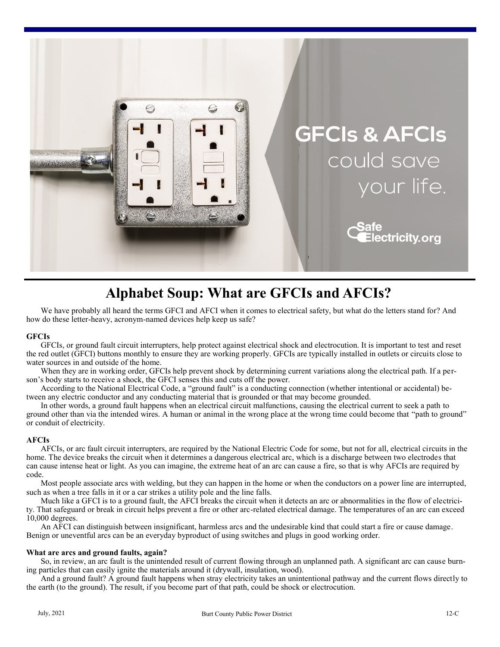

### **Alphabet Soup: What are GFCIs and AFCIs?**

We have probably all heard the terms GFCI and AFCI when it comes to electrical safety, but what do the letters stand for? And how do these letter-heavy, acronym-named devices help keep us safe?

#### **GFCIs**

GFCIs, or ground fault circuit interrupters, help protect against electrical shock and electrocution. It is important to test and reset the red outlet (GFCI) buttons monthly to ensure they are working properly. GFCIs are typically installed in outlets or circuits close to water sources in and outside of the home.

When they are in working order, GFCIs help prevent shock by determining current variations along the electrical path. If a person's body starts to receive a shock, the GFCI senses this and cuts off the power.

According to the National Electrical Code, a "ground fault" is a conducting connection (whether intentional or accidental) between any electric conductor and any conducting material that is grounded or that may become grounded.

In other words, a ground fault happens when an electrical circuit malfunctions, causing the electrical current to seek a path to ground other than via the intended wires. A human or animal in the wrong place at the wrong time could become that "path to ground" or conduit of electricity.

#### **AFCIs**

AFCIs, or arc fault circuit interrupters, are required by the National Electric Code for some, but not for all, electrical circuits in the home. The device breaks the circuit when it determines a dangerous electrical arc, which is a discharge between two electrodes that can cause intense heat or light. As you can imagine, the extreme heat of an arc can cause a fire, so that is why AFCIs are required by code.

Most people associate arcs with welding, but they can happen in the home or when the conductors on a power line are interrupted, such as when a tree falls in it or a car strikes a utility pole and the line falls.

Much like a GFCI is to a ground fault, the AFCI breaks the circuit when it detects an arc or abnormalities in the flow of electricity. That safeguard or break in circuit helps prevent a fire or other arc-related electrical damage. The temperatures of an arc can exceed 10,000 degrees.

An AFCI can distinguish between insignificant, harmless arcs and the undesirable kind that could start a fire or cause damage. Benign or uneventful arcs can be an everyday byproduct of using switches and plugs in good working order.

#### **What are arcs and ground faults, again?**

So, in review, an arc fault is the unintended result of current flowing through an unplanned path. A significant arc can cause burning particles that can easily ignite the materials around it (drywall, insulation, wood).

And a ground fault? A ground fault happens when stray electricity takes an unintentional pathway and the current flows directly to the earth (to the ground). The result, if you become part of that path, could be shock or electrocution.